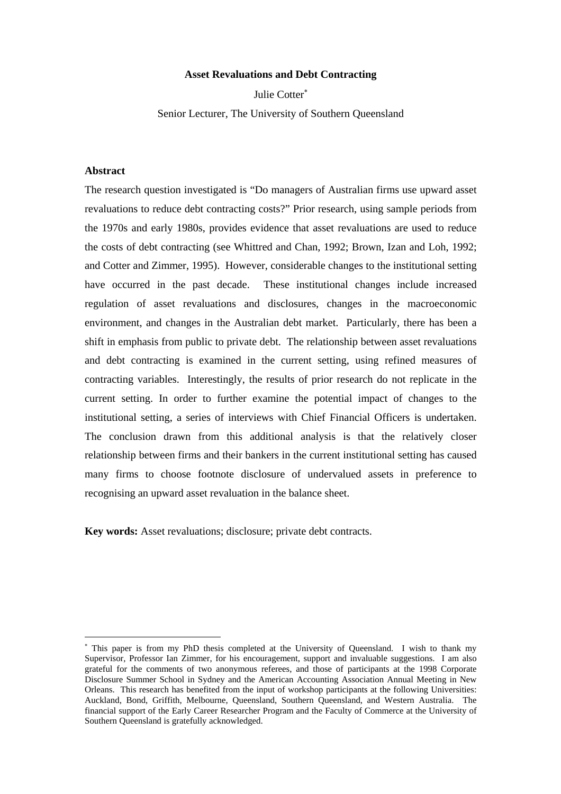## **Asset Revaluations and Debt Contracting**

Julie Cotter<sup>∗</sup>

Senior Lecturer, The University of Southern Queensland

## **Abstract**

 $\overline{a}$ 

The research question investigated is "Do managers of Australian firms use upward asset revaluations to reduce debt contracting costs?" Prior research, using sample periods from the 1970s and early 1980s, provides evidence that asset revaluations are used to reduce the costs of debt contracting (see Whittred and Chan, 1992; Brown, Izan and Loh, 1992; and Cotter and Zimmer, 1995). However, considerable changes to the institutional setting have occurred in the past decade. These institutional changes include increased regulation of asset revaluations and disclosures, changes in the macroeconomic environment, and changes in the Australian debt market. Particularly, there has been a shift in emphasis from public to private debt. The relationship between asset revaluations and debt contracting is examined in the current setting, using refined measures of contracting variables. Interestingly, the results of prior research do not replicate in the current setting. In order to further examine the potential impact of changes to the institutional setting, a series of interviews with Chief Financial Officers is undertaken. The conclusion drawn from this additional analysis is that the relatively closer relationship between firms and their bankers in the current institutional setting has caused many firms to choose footnote disclosure of undervalued assets in preference to recognising an upward asset revaluation in the balance sheet.

**Key words:** Asset revaluations; disclosure; private debt contracts.

<sup>∗</sup> This paper is from my PhD thesis completed at the University of Queensland. I wish to thank my Supervisor, Professor Ian Zimmer, for his encouragement, support and invaluable suggestions. I am also grateful for the comments of two anonymous referees, and those of participants at the 1998 Corporate Disclosure Summer School in Sydney and the American Accounting Association Annual Meeting in New Orleans. This research has benefited from the input of workshop participants at the following Universities: Auckland, Bond, Griffith, Melbourne, Queensland, Southern Queensland, and Western Australia. The financial support of the Early Career Researcher Program and the Faculty of Commerce at the University of Southern Queensland is gratefully acknowledged.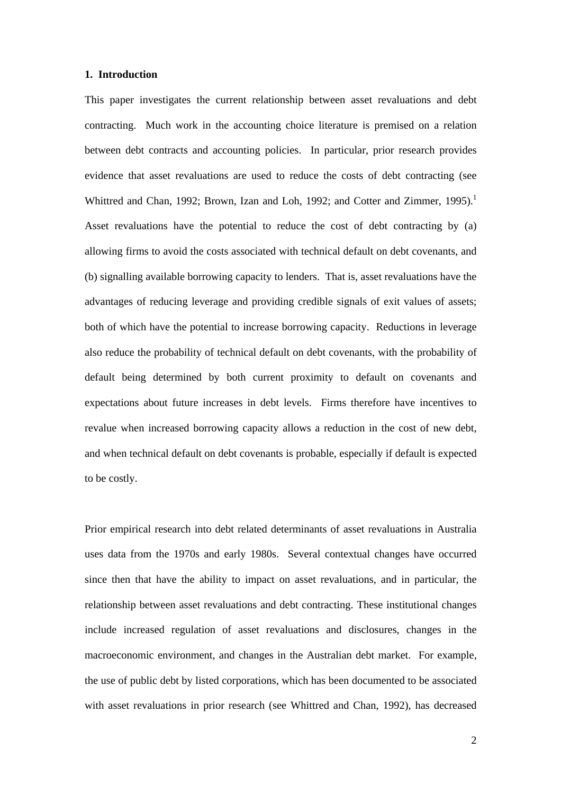### **1. Introduction**

This paper investigates the current relationship between asset revaluations and debt contracting. Much work in the accounting choice literature is premised on a relation between debt contracts and accounting policies. In particular, prior research provides evidence that asset revaluations are used to reduce the costs of debt contracting (see Whittred and Chan, 1992; Brown, Izan and Loh, 1992; and Cotter and Zimmer, 1995).<sup>1</sup> Asset revaluations have the potential to reduce the cost of debt contracting by (a) allowing firms to avoid the costs associated with technical default on debt covenants, and (b) signalling available borrowing capacity to lenders. That is, asset revaluations have the advantages of reducing leverage and providing credible signals of exit values of assets; both of which have the potential to increase borrowing capacity. Reductions in leverage also reduce the probability of technical default on debt covenants, with the probability of default being determined by both current proximity to default on covenants and expectations about future increases in debt levels. Firms therefore have incentives to revalue when increased borrowing capacity allows a reduction in the cost of new debt, and when technical default on debt covenants is probable, especially if default is expected to be costly.

Prior empirical research into debt related determinants of asset revaluations in Australia uses data from the 1970s and early 1980s. Several contextual changes have occurred since then that have the ability to impact on asset revaluations, and in particular, the relationship between asset revaluations and debt contracting. These institutional changes include increased regulation of asset revaluations and disclosures, changes in the macroeconomic environment, and changes in the Australian debt market. For example, the use of public debt by listed corporations, which has been documented to be associated with asset revaluations in prior research (see Whittred and Chan, 1992), has decreased

2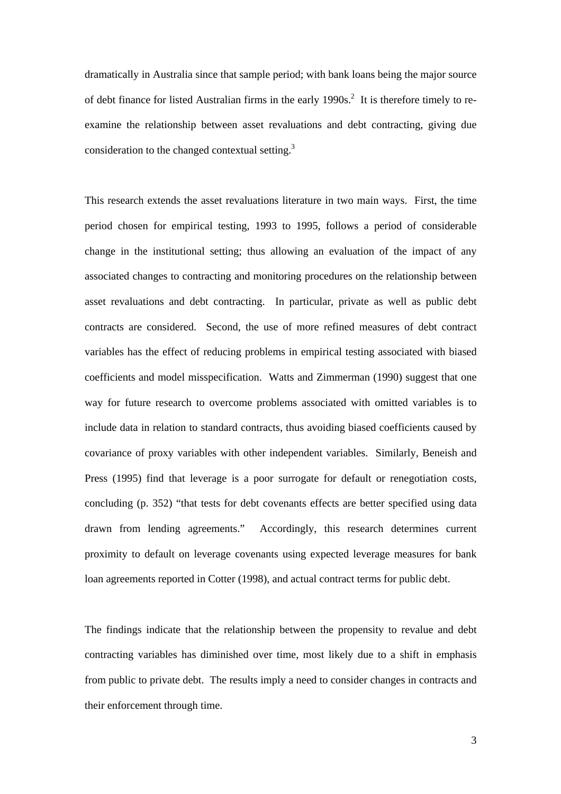dramatically in Australia since that sample period; with bank loans being the major source of debt finance for listed Australian firms in the early  $1990s$ <sup>2</sup>. It is therefore timely to reexamine the relationship between asset revaluations and debt contracting, giving due consideration to the changed contextual setting.3

This research extends the asset revaluations literature in two main ways. First, the time period chosen for empirical testing, 1993 to 1995, follows a period of considerable change in the institutional setting; thus allowing an evaluation of the impact of any associated changes to contracting and monitoring procedures on the relationship between asset revaluations and debt contracting. In particular, private as well as public debt contracts are considered. Second, the use of more refined measures of debt contract variables has the effect of reducing problems in empirical testing associated with biased coefficients and model misspecification. Watts and Zimmerman (1990) suggest that one way for future research to overcome problems associated with omitted variables is to include data in relation to standard contracts, thus avoiding biased coefficients caused by covariance of proxy variables with other independent variables. Similarly, Beneish and Press (1995) find that leverage is a poor surrogate for default or renegotiation costs, concluding (p. 352) "that tests for debt covenants effects are better specified using data drawn from lending agreements." Accordingly, this research determines current proximity to default on leverage covenants using expected leverage measures for bank loan agreements reported in Cotter (1998), and actual contract terms for public debt.

The findings indicate that the relationship between the propensity to revalue and debt contracting variables has diminished over time, most likely due to a shift in emphasis from public to private debt. The results imply a need to consider changes in contracts and their enforcement through time.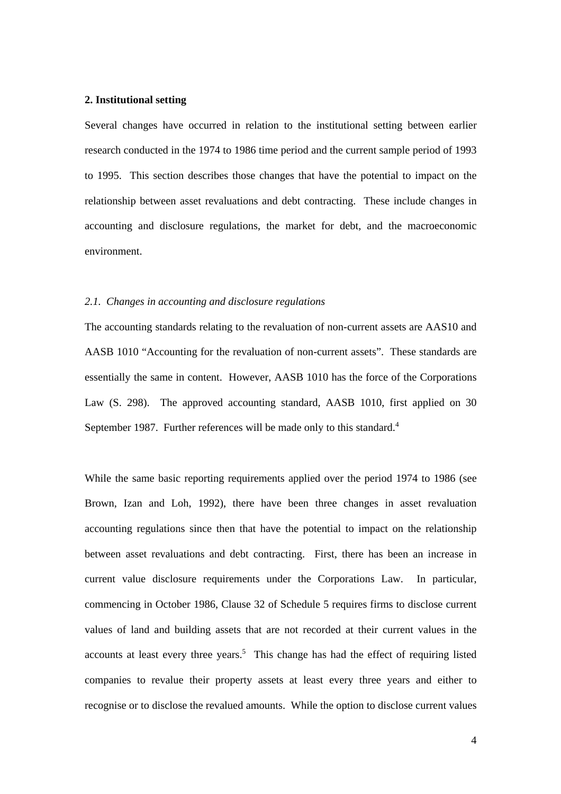### **2. Institutional setting**

Several changes have occurred in relation to the institutional setting between earlier research conducted in the 1974 to 1986 time period and the current sample period of 1993 to 1995. This section describes those changes that have the potential to impact on the relationship between asset revaluations and debt contracting. These include changes in accounting and disclosure regulations, the market for debt, and the macroeconomic environment.

#### *2.1. Changes in accounting and disclosure regulations*

The accounting standards relating to the revaluation of non-current assets are AAS10 and AASB 1010 "Accounting for the revaluation of non-current assets". These standards are essentially the same in content. However, AASB 1010 has the force of the Corporations Law (S. 298). The approved accounting standard, AASB 1010, first applied on 30 September 1987. Further references will be made only to this standard.<sup>4</sup>

While the same basic reporting requirements applied over the period 1974 to 1986 (see Brown, Izan and Loh, 1992), there have been three changes in asset revaluation accounting regulations since then that have the potential to impact on the relationship between asset revaluations and debt contracting. First, there has been an increase in current value disclosure requirements under the Corporations Law. In particular, commencing in October 1986, Clause 32 of Schedule 5 requires firms to disclose current values of land and building assets that are not recorded at their current values in the accounts at least every three years.<sup>5</sup> This change has had the effect of requiring listed companies to revalue their property assets at least every three years and either to recognise or to disclose the revalued amounts. While the option to disclose current values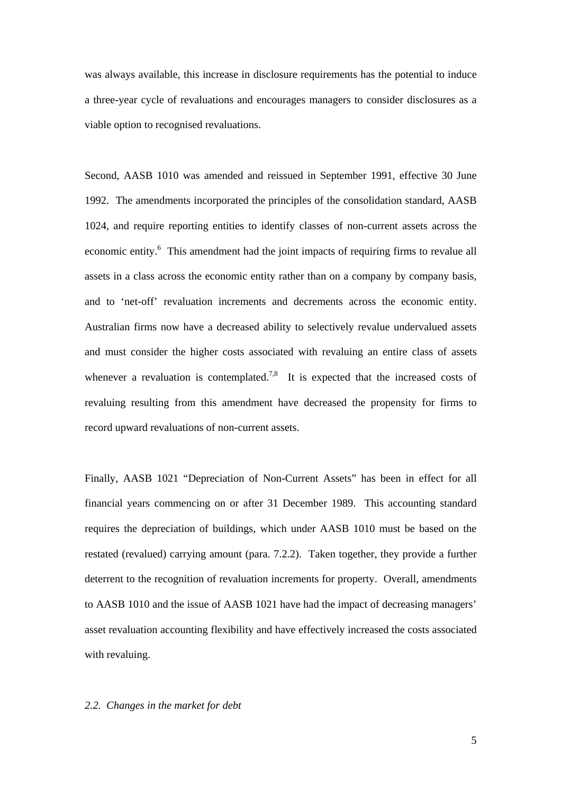was always available, this increase in disclosure requirements has the potential to induce a three-year cycle of revaluations and encourages managers to consider disclosures as a viable option to recognised revaluations.

Second, AASB 1010 was amended and reissued in September 1991, effective 30 June 1992. The amendments incorporated the principles of the consolidation standard, AASB 1024, and require reporting entities to identify classes of non-current assets across the economic entity.<sup>6</sup> This amendment had the joint impacts of requiring firms to revalue all assets in a class across the economic entity rather than on a company by company basis, and to 'net-off' revaluation increments and decrements across the economic entity. Australian firms now have a decreased ability to selectively revalue undervalued assets and must consider the higher costs associated with revaluing an entire class of assets whenever a revaluation is contemplated.<sup>7,8</sup> It is expected that the increased costs of revaluing resulting from this amendment have decreased the propensity for firms to record upward revaluations of non-current assets.

Finally, AASB 1021 "Depreciation of Non-Current Assets" has been in effect for all financial years commencing on or after 31 December 1989. This accounting standard requires the depreciation of buildings, which under AASB 1010 must be based on the restated (revalued) carrying amount (para. 7.2.2). Taken together, they provide a further deterrent to the recognition of revaluation increments for property. Overall, amendments to AASB 1010 and the issue of AASB 1021 have had the impact of decreasing managers' asset revaluation accounting flexibility and have effectively increased the costs associated with revaluing.

## *2.2. Changes in the market for debt*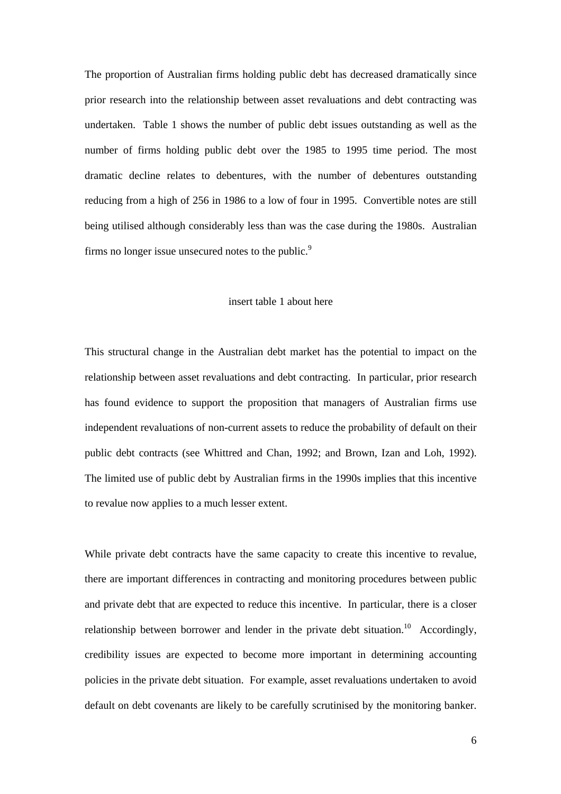The proportion of Australian firms holding public debt has decreased dramatically since prior research into the relationship between asset revaluations and debt contracting was undertaken. Table 1 shows the number of public debt issues outstanding as well as the number of firms holding public debt over the 1985 to 1995 time period. The most dramatic decline relates to debentures, with the number of debentures outstanding reducing from a high of 256 in 1986 to a low of four in 1995. Convertible notes are still being utilised although considerably less than was the case during the 1980s. Australian firms no longer issue unsecured notes to the public. $9$ 

#### insert table 1 about here

This structural change in the Australian debt market has the potential to impact on the relationship between asset revaluations and debt contracting. In particular, prior research has found evidence to support the proposition that managers of Australian firms use independent revaluations of non-current assets to reduce the probability of default on their public debt contracts (see Whittred and Chan, 1992; and Brown, Izan and Loh, 1992). The limited use of public debt by Australian firms in the 1990s implies that this incentive to revalue now applies to a much lesser extent.

While private debt contracts have the same capacity to create this incentive to revalue, there are important differences in contracting and monitoring procedures between public and private debt that are expected to reduce this incentive. In particular, there is a closer relationship between borrower and lender in the private debt situation.<sup>10</sup> Accordingly, credibility issues are expected to become more important in determining accounting policies in the private debt situation. For example, asset revaluations undertaken to avoid default on debt covenants are likely to be carefully scrutinised by the monitoring banker.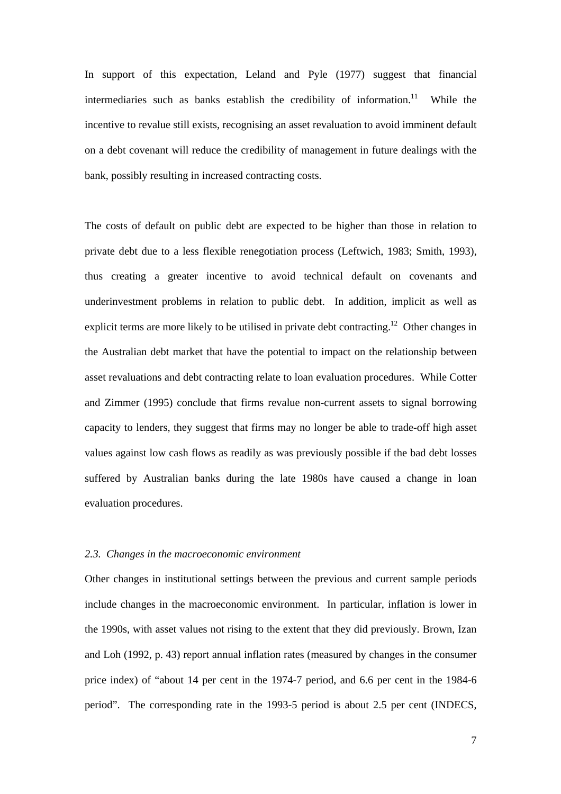In support of this expectation, Leland and Pyle (1977) suggest that financial intermediaries such as banks establish the credibility of information.<sup>11</sup> While the incentive to revalue still exists, recognising an asset revaluation to avoid imminent default on a debt covenant will reduce the credibility of management in future dealings with the bank, possibly resulting in increased contracting costs.

The costs of default on public debt are expected to be higher than those in relation to private debt due to a less flexible renegotiation process (Leftwich, 1983; Smith, 1993), thus creating a greater incentive to avoid technical default on covenants and underinvestment problems in relation to public debt. In addition, implicit as well as explicit terms are more likely to be utilised in private debt contracting.<sup>12</sup> Other changes in the Australian debt market that have the potential to impact on the relationship between asset revaluations and debt contracting relate to loan evaluation procedures. While Cotter and Zimmer (1995) conclude that firms revalue non-current assets to signal borrowing capacity to lenders, they suggest that firms may no longer be able to trade-off high asset values against low cash flows as readily as was previously possible if the bad debt losses suffered by Australian banks during the late 1980s have caused a change in loan evaluation procedures.

## *2.3. Changes in the macroeconomic environment*

Other changes in institutional settings between the previous and current sample periods include changes in the macroeconomic environment. In particular, inflation is lower in the 1990s, with asset values not rising to the extent that they did previously. Brown, Izan and Loh (1992, p. 43) report annual inflation rates (measured by changes in the consumer price index) of "about 14 per cent in the 1974-7 period, and 6.6 per cent in the 1984-6 period". The corresponding rate in the 1993-5 period is about 2.5 per cent (INDECS,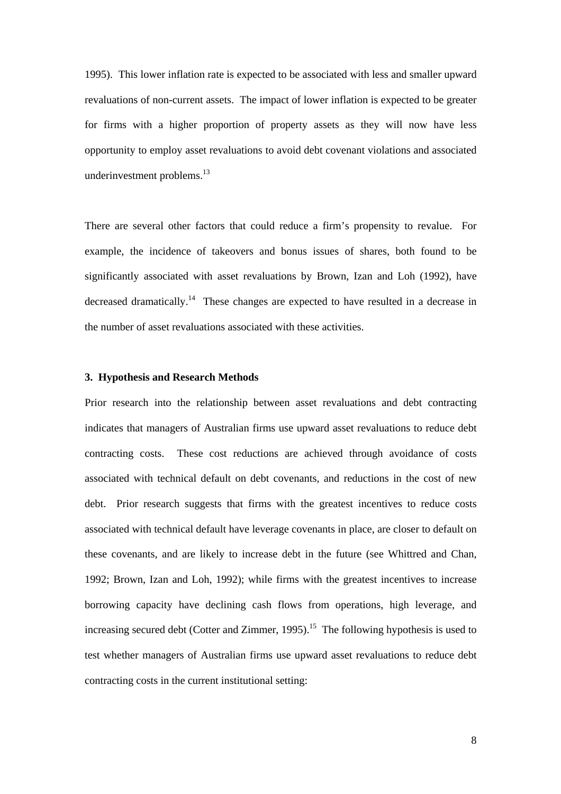1995). This lower inflation rate is expected to be associated with less and smaller upward revaluations of non-current assets. The impact of lower inflation is expected to be greater for firms with a higher proportion of property assets as they will now have less opportunity to employ asset revaluations to avoid debt covenant violations and associated underinvestment problems.<sup>13</sup>

There are several other factors that could reduce a firm's propensity to revalue. For example, the incidence of takeovers and bonus issues of shares, both found to be significantly associated with asset revaluations by Brown, Izan and Loh (1992), have decreased dramatically.14 These changes are expected to have resulted in a decrease in the number of asset revaluations associated with these activities.

## **3. Hypothesis and Research Methods**

Prior research into the relationship between asset revaluations and debt contracting indicates that managers of Australian firms use upward asset revaluations to reduce debt contracting costs. These cost reductions are achieved through avoidance of costs associated with technical default on debt covenants, and reductions in the cost of new debt. Prior research suggests that firms with the greatest incentives to reduce costs associated with technical default have leverage covenants in place, are closer to default on these covenants, and are likely to increase debt in the future (see Whittred and Chan, 1992; Brown, Izan and Loh, 1992); while firms with the greatest incentives to increase borrowing capacity have declining cash flows from operations, high leverage, and increasing secured debt (Cotter and Zimmer, 1995).<sup>15</sup> The following hypothesis is used to test whether managers of Australian firms use upward asset revaluations to reduce debt contracting costs in the current institutional setting: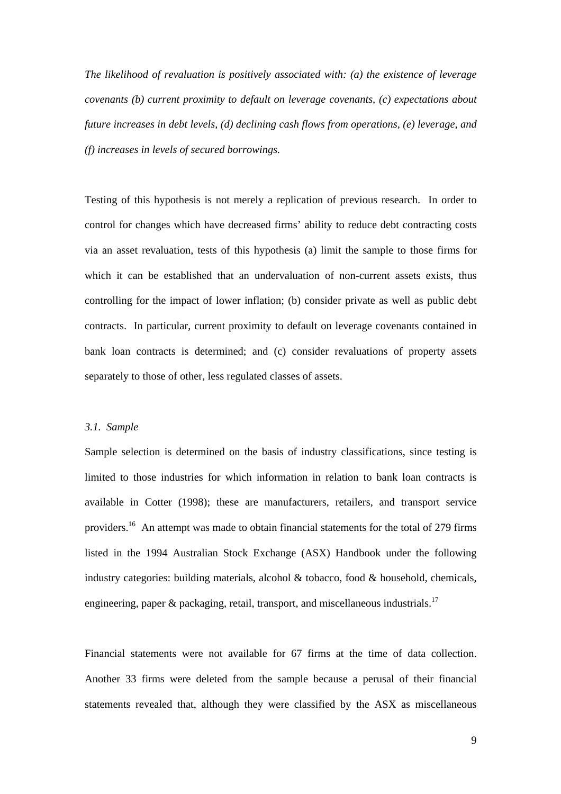*The likelihood of revaluation is positively associated with: (a) the existence of leverage covenants (b) current proximity to default on leverage covenants, (c) expectations about future increases in debt levels, (d) declining cash flows from operations, (e) leverage, and (f) increases in levels of secured borrowings.* 

Testing of this hypothesis is not merely a replication of previous research. In order to control for changes which have decreased firms' ability to reduce debt contracting costs via an asset revaluation, tests of this hypothesis (a) limit the sample to those firms for which it can be established that an undervaluation of non-current assets exists, thus controlling for the impact of lower inflation; (b) consider private as well as public debt contracts. In particular, current proximity to default on leverage covenants contained in bank loan contracts is determined; and (c) consider revaluations of property assets separately to those of other, less regulated classes of assets.

## *3.1. Sample*

Sample selection is determined on the basis of industry classifications, since testing is limited to those industries for which information in relation to bank loan contracts is available in Cotter (1998); these are manufacturers, retailers, and transport service providers.16 An attempt was made to obtain financial statements for the total of 279 firms listed in the 1994 Australian Stock Exchange (ASX) Handbook under the following industry categories: building materials, alcohol  $\&$  tobacco, food  $\&$  household, chemicals, engineering, paper  $\&$  packaging, retail, transport, and miscellaneous industrials.<sup>17</sup>

Financial statements were not available for 67 firms at the time of data collection. Another 33 firms were deleted from the sample because a perusal of their financial statements revealed that, although they were classified by the ASX as miscellaneous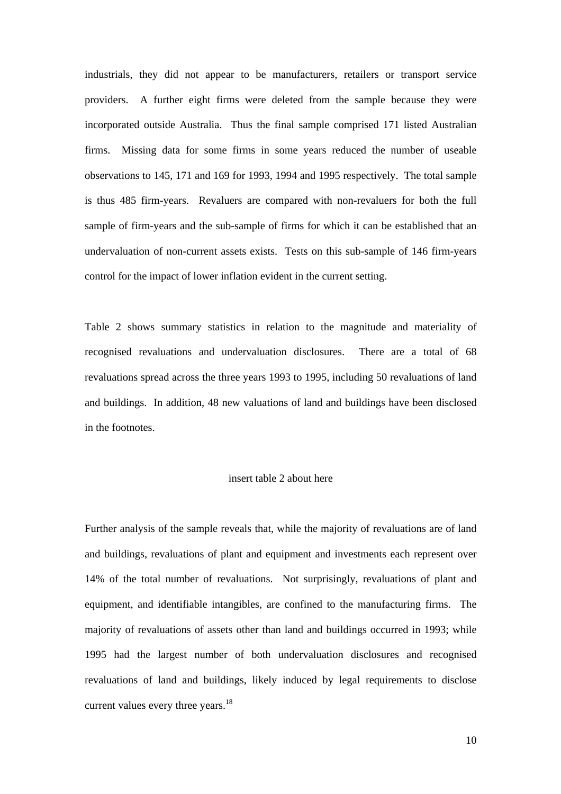industrials, they did not appear to be manufacturers, retailers or transport service providers. A further eight firms were deleted from the sample because they were incorporated outside Australia. Thus the final sample comprised 171 listed Australian firms. Missing data for some firms in some years reduced the number of useable observations to 145, 171 and 169 for 1993, 1994 and 1995 respectively. The total sample is thus 485 firm-years. Revaluers are compared with non-revaluers for both the full sample of firm-years and the sub-sample of firms for which it can be established that an undervaluation of non-current assets exists. Tests on this sub-sample of 146 firm-years control for the impact of lower inflation evident in the current setting.

Table 2 shows summary statistics in relation to the magnitude and materiality of recognised revaluations and undervaluation disclosures. There are a total of 68 revaluations spread across the three years 1993 to 1995, including 50 revaluations of land and buildings. In addition, 48 new valuations of land and buildings have been disclosed in the footnotes.

## insert table 2 about here

Further analysis of the sample reveals that, while the majority of revaluations are of land and buildings, revaluations of plant and equipment and investments each represent over 14% of the total number of revaluations. Not surprisingly, revaluations of plant and equipment, and identifiable intangibles, are confined to the manufacturing firms. The majority of revaluations of assets other than land and buildings occurred in 1993; while 1995 had the largest number of both undervaluation disclosures and recognised revaluations of land and buildings, likely induced by legal requirements to disclose current values every three years.<sup>18</sup>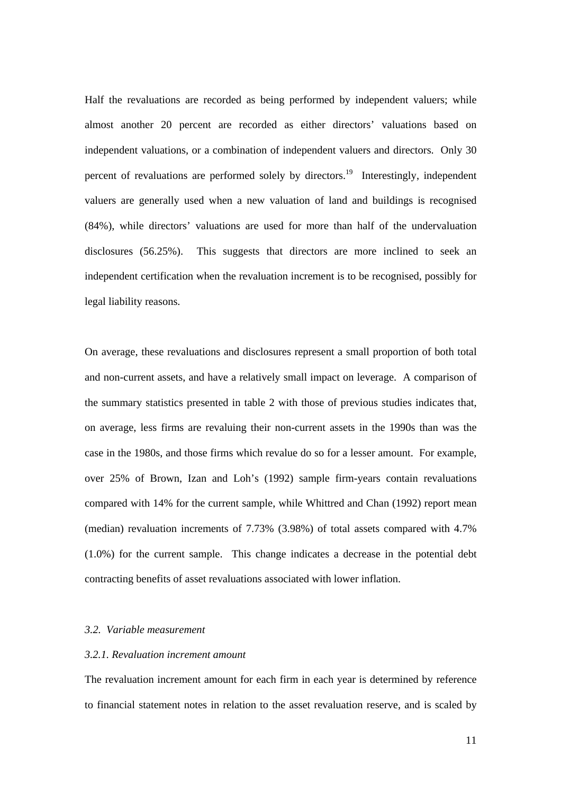Half the revaluations are recorded as being performed by independent valuers; while almost another 20 percent are recorded as either directors' valuations based on independent valuations, or a combination of independent valuers and directors. Only 30 percent of revaluations are performed solely by directors.<sup>19</sup> Interestingly, independent valuers are generally used when a new valuation of land and buildings is recognised (84%), while directors' valuations are used for more than half of the undervaluation disclosures (56.25%). This suggests that directors are more inclined to seek an independent certification when the revaluation increment is to be recognised, possibly for legal liability reasons.

On average, these revaluations and disclosures represent a small proportion of both total and non-current assets, and have a relatively small impact on leverage. A comparison of the summary statistics presented in table 2 with those of previous studies indicates that, on average, less firms are revaluing their non-current assets in the 1990s than was the case in the 1980s, and those firms which revalue do so for a lesser amount. For example, over 25% of Brown, Izan and Loh's (1992) sample firm-years contain revaluations compared with 14% for the current sample, while Whittred and Chan (1992) report mean (median) revaluation increments of 7.73% (3.98%) of total assets compared with 4.7% (1.0%) for the current sample. This change indicates a decrease in the potential debt contracting benefits of asset revaluations associated with lower inflation.

## *3.2. Variable measurement*

## *3.2.1. Revaluation increment amount*

The revaluation increment amount for each firm in each year is determined by reference to financial statement notes in relation to the asset revaluation reserve, and is scaled by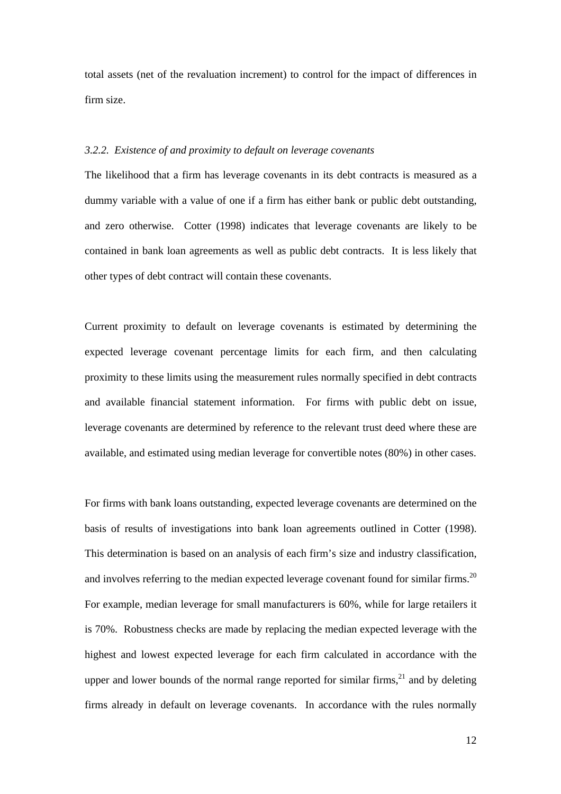total assets (net of the revaluation increment) to control for the impact of differences in firm size.

## *3.2.2. Existence of and proximity to default on leverage covenants*

The likelihood that a firm has leverage covenants in its debt contracts is measured as a dummy variable with a value of one if a firm has either bank or public debt outstanding, and zero otherwise. Cotter (1998) indicates that leverage covenants are likely to be contained in bank loan agreements as well as public debt contracts. It is less likely that other types of debt contract will contain these covenants.

Current proximity to default on leverage covenants is estimated by determining the expected leverage covenant percentage limits for each firm, and then calculating proximity to these limits using the measurement rules normally specified in debt contracts and available financial statement information. For firms with public debt on issue, leverage covenants are determined by reference to the relevant trust deed where these are available, and estimated using median leverage for convertible notes (80%) in other cases.

For firms with bank loans outstanding, expected leverage covenants are determined on the basis of results of investigations into bank loan agreements outlined in Cotter (1998). This determination is based on an analysis of each firm's size and industry classification, and involves referring to the median expected leverage covenant found for similar firms.<sup>20</sup> For example, median leverage for small manufacturers is 60%, while for large retailers it is 70%. Robustness checks are made by replacing the median expected leverage with the highest and lowest expected leverage for each firm calculated in accordance with the upper and lower bounds of the normal range reported for similar firms,  $21$  and by deleting firms already in default on leverage covenants. In accordance with the rules normally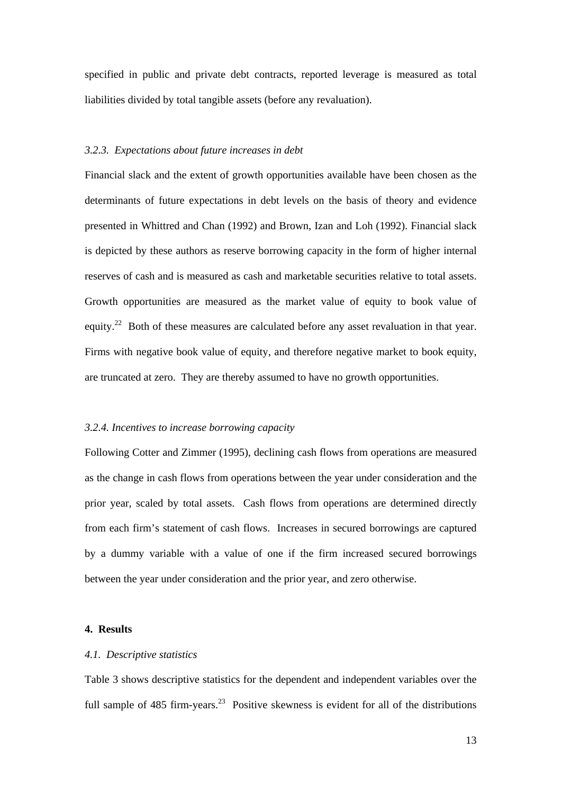specified in public and private debt contracts, reported leverage is measured as total liabilities divided by total tangible assets (before any revaluation).

## *3.2.3. Expectations about future increases in debt*

Financial slack and the extent of growth opportunities available have been chosen as the determinants of future expectations in debt levels on the basis of theory and evidence presented in Whittred and Chan (1992) and Brown, Izan and Loh (1992). Financial slack is depicted by these authors as reserve borrowing capacity in the form of higher internal reserves of cash and is measured as cash and marketable securities relative to total assets. Growth opportunities are measured as the market value of equity to book value of equity.<sup>22</sup> Both of these measures are calculated before any asset revaluation in that year. Firms with negative book value of equity, and therefore negative market to book equity, are truncated at zero. They are thereby assumed to have no growth opportunities.

#### *3.2.4. Incentives to increase borrowing capacity*

Following Cotter and Zimmer (1995), declining cash flows from operations are measured as the change in cash flows from operations between the year under consideration and the prior year, scaled by total assets. Cash flows from operations are determined directly from each firm's statement of cash flows. Increases in secured borrowings are captured by a dummy variable with a value of one if the firm increased secured borrowings between the year under consideration and the prior year, and zero otherwise.

### **4. Results**

#### *4.1. Descriptive statistics*

Table 3 shows descriptive statistics for the dependent and independent variables over the full sample of 485 firm-years.<sup>23</sup> Positive skewness is evident for all of the distributions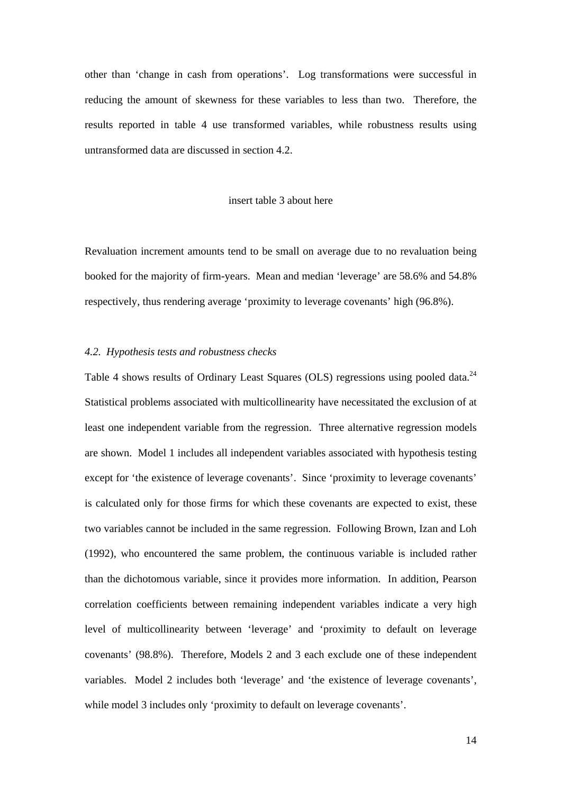other than 'change in cash from operations'. Log transformations were successful in reducing the amount of skewness for these variables to less than two. Therefore, the results reported in table 4 use transformed variables, while robustness results using untransformed data are discussed in section 4.2.

## insert table 3 about here

Revaluation increment amounts tend to be small on average due to no revaluation being booked for the majority of firm-years. Mean and median 'leverage' are 58.6% and 54.8% respectively, thus rendering average 'proximity to leverage covenants' high (96.8%).

#### *4.2. Hypothesis tests and robustness checks*

Table 4 shows results of Ordinary Least Squares (OLS) regressions using pooled data.<sup>24</sup> Statistical problems associated with multicollinearity have necessitated the exclusion of at least one independent variable from the regression. Three alternative regression models are shown. Model 1 includes all independent variables associated with hypothesis testing except for 'the existence of leverage covenants'. Since 'proximity to leverage covenants' is calculated only for those firms for which these covenants are expected to exist, these two variables cannot be included in the same regression. Following Brown, Izan and Loh (1992), who encountered the same problem, the continuous variable is included rather than the dichotomous variable, since it provides more information. In addition, Pearson correlation coefficients between remaining independent variables indicate a very high level of multicollinearity between 'leverage' and 'proximity to default on leverage covenants' (98.8%). Therefore, Models 2 and 3 each exclude one of these independent variables. Model 2 includes both 'leverage' and 'the existence of leverage covenants', while model 3 includes only 'proximity to default on leverage covenants'.

14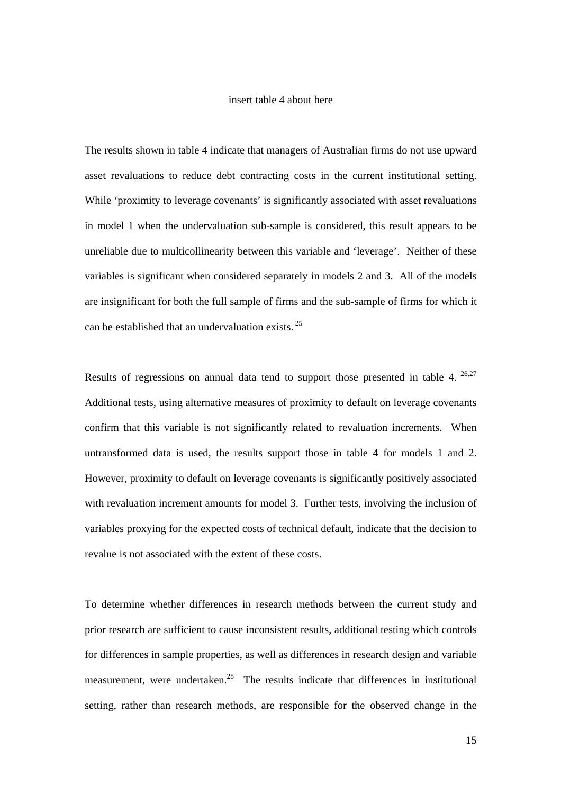## insert table 4 about here

The results shown in table 4 indicate that managers of Australian firms do not use upward asset revaluations to reduce debt contracting costs in the current institutional setting. While 'proximity to leverage covenants' is significantly associated with asset revaluations in model 1 when the undervaluation sub-sample is considered, this result appears to be unreliable due to multicollinearity between this variable and 'leverage'. Neither of these variables is significant when considered separately in models 2 and 3. All of the models are insignificant for both the full sample of firms and the sub-sample of firms for which it can be established that an undervaluation exists. 25

Results of regressions on annual data tend to support those presented in table 4. <sup>26,27</sup> Additional tests, using alternative measures of proximity to default on leverage covenants confirm that this variable is not significantly related to revaluation increments. When untransformed data is used, the results support those in table 4 for models 1 and 2. However, proximity to default on leverage covenants is significantly positively associated with revaluation increment amounts for model 3. Further tests, involving the inclusion of variables proxying for the expected costs of technical default, indicate that the decision to revalue is not associated with the extent of these costs.

To determine whether differences in research methods between the current study and prior research are sufficient to cause inconsistent results, additional testing which controls for differences in sample properties, as well as differences in research design and variable measurement, were undertaken.<sup>28</sup> The results indicate that differences in institutional setting, rather than research methods, are responsible for the observed change in the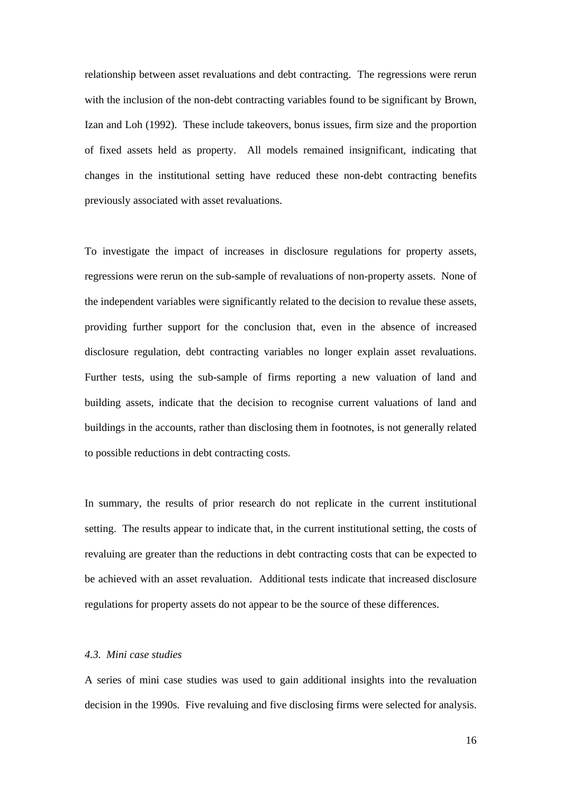relationship between asset revaluations and debt contracting. The regressions were rerun with the inclusion of the non-debt contracting variables found to be significant by Brown, Izan and Loh (1992). These include takeovers, bonus issues, firm size and the proportion of fixed assets held as property. All models remained insignificant, indicating that changes in the institutional setting have reduced these non-debt contracting benefits previously associated with asset revaluations.

To investigate the impact of increases in disclosure regulations for property assets, regressions were rerun on the sub-sample of revaluations of non-property assets. None of the independent variables were significantly related to the decision to revalue these assets, providing further support for the conclusion that, even in the absence of increased disclosure regulation, debt contracting variables no longer explain asset revaluations. Further tests, using the sub-sample of firms reporting a new valuation of land and building assets, indicate that the decision to recognise current valuations of land and buildings in the accounts, rather than disclosing them in footnotes, is not generally related to possible reductions in debt contracting costs.

In summary, the results of prior research do not replicate in the current institutional setting. The results appear to indicate that, in the current institutional setting, the costs of revaluing are greater than the reductions in debt contracting costs that can be expected to be achieved with an asset revaluation. Additional tests indicate that increased disclosure regulations for property assets do not appear to be the source of these differences.

## *4.3. Mini case studies*

A series of mini case studies was used to gain additional insights into the revaluation decision in the 1990s. Five revaluing and five disclosing firms were selected for analysis.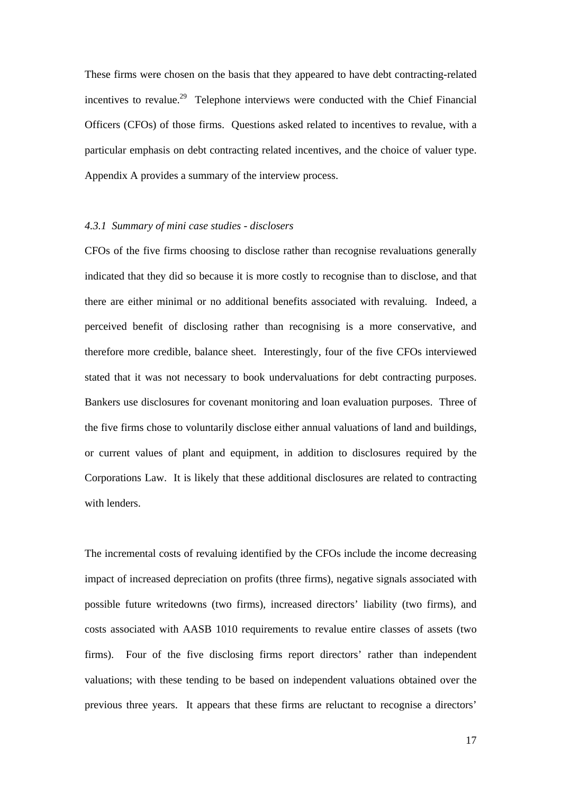These firms were chosen on the basis that they appeared to have debt contracting-related incentives to revalue.29 Telephone interviews were conducted with the Chief Financial Officers (CFOs) of those firms. Questions asked related to incentives to revalue, with a particular emphasis on debt contracting related incentives, and the choice of valuer type. Appendix A provides a summary of the interview process.

## *4.3.1 Summary of mini case studies - disclosers*

CFOs of the five firms choosing to disclose rather than recognise revaluations generally indicated that they did so because it is more costly to recognise than to disclose, and that there are either minimal or no additional benefits associated with revaluing. Indeed, a perceived benefit of disclosing rather than recognising is a more conservative, and therefore more credible, balance sheet. Interestingly, four of the five CFOs interviewed stated that it was not necessary to book undervaluations for debt contracting purposes. Bankers use disclosures for covenant monitoring and loan evaluation purposes. Three of the five firms chose to voluntarily disclose either annual valuations of land and buildings, or current values of plant and equipment, in addition to disclosures required by the Corporations Law. It is likely that these additional disclosures are related to contracting with lenders.

The incremental costs of revaluing identified by the CFOs include the income decreasing impact of increased depreciation on profits (three firms), negative signals associated with possible future writedowns (two firms), increased directors' liability (two firms), and costs associated with AASB 1010 requirements to revalue entire classes of assets (two firms). Four of the five disclosing firms report directors' rather than independent valuations; with these tending to be based on independent valuations obtained over the previous three years. It appears that these firms are reluctant to recognise a directors'

17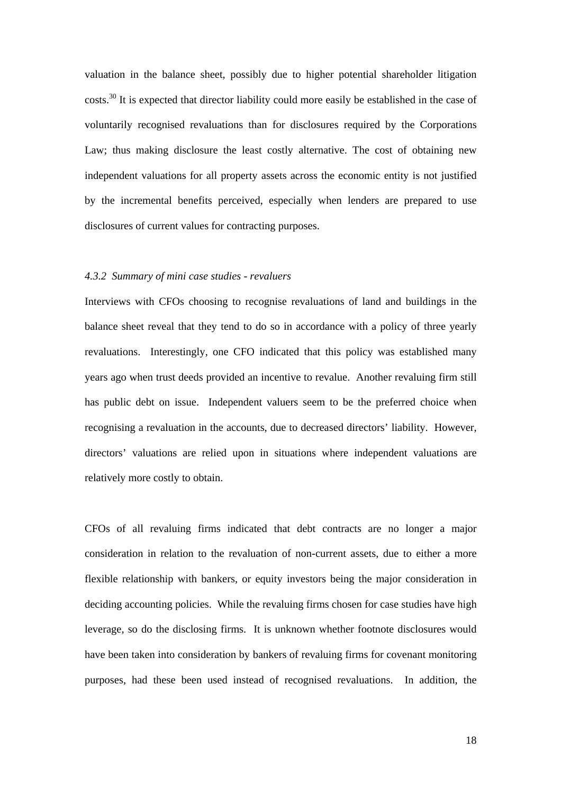valuation in the balance sheet, possibly due to higher potential shareholder litigation costs.30 It is expected that director liability could more easily be established in the case of voluntarily recognised revaluations than for disclosures required by the Corporations Law; thus making disclosure the least costly alternative. The cost of obtaining new independent valuations for all property assets across the economic entity is not justified by the incremental benefits perceived, especially when lenders are prepared to use disclosures of current values for contracting purposes.

## *4.3.2 Summary of mini case studies - revaluers*

Interviews with CFOs choosing to recognise revaluations of land and buildings in the balance sheet reveal that they tend to do so in accordance with a policy of three yearly revaluations. Interestingly, one CFO indicated that this policy was established many years ago when trust deeds provided an incentive to revalue. Another revaluing firm still has public debt on issue. Independent valuers seem to be the preferred choice when recognising a revaluation in the accounts, due to decreased directors' liability. However, directors' valuations are relied upon in situations where independent valuations are relatively more costly to obtain.

CFOs of all revaluing firms indicated that debt contracts are no longer a major consideration in relation to the revaluation of non-current assets, due to either a more flexible relationship with bankers, or equity investors being the major consideration in deciding accounting policies. While the revaluing firms chosen for case studies have high leverage, so do the disclosing firms. It is unknown whether footnote disclosures would have been taken into consideration by bankers of revaluing firms for covenant monitoring purposes, had these been used instead of recognised revaluations. In addition, the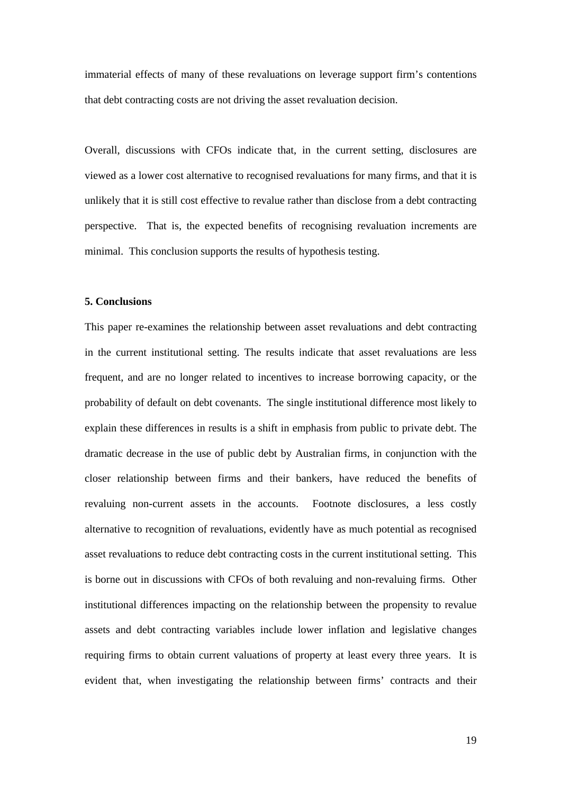immaterial effects of many of these revaluations on leverage support firm's contentions that debt contracting costs are not driving the asset revaluation decision.

Overall, discussions with CFOs indicate that, in the current setting, disclosures are viewed as a lower cost alternative to recognised revaluations for many firms, and that it is unlikely that it is still cost effective to revalue rather than disclose from a debt contracting perspective. That is, the expected benefits of recognising revaluation increments are minimal. This conclusion supports the results of hypothesis testing.

### **5. Conclusions**

This paper re-examines the relationship between asset revaluations and debt contracting in the current institutional setting. The results indicate that asset revaluations are less frequent, and are no longer related to incentives to increase borrowing capacity, or the probability of default on debt covenants. The single institutional difference most likely to explain these differences in results is a shift in emphasis from public to private debt. The dramatic decrease in the use of public debt by Australian firms, in conjunction with the closer relationship between firms and their bankers, have reduced the benefits of revaluing non-current assets in the accounts. Footnote disclosures, a less costly alternative to recognition of revaluations, evidently have as much potential as recognised asset revaluations to reduce debt contracting costs in the current institutional setting. This is borne out in discussions with CFOs of both revaluing and non-revaluing firms. Other institutional differences impacting on the relationship between the propensity to revalue assets and debt contracting variables include lower inflation and legislative changes requiring firms to obtain current valuations of property at least every three years. It is evident that, when investigating the relationship between firms' contracts and their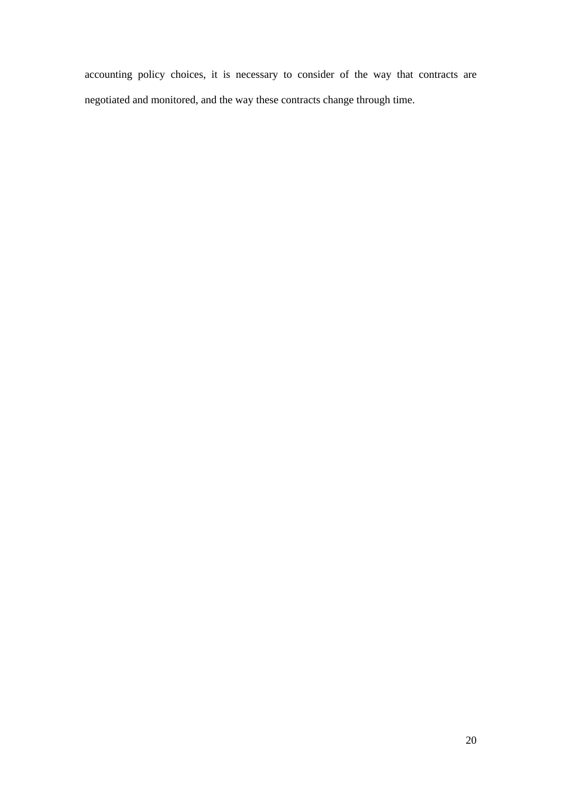accounting policy choices, it is necessary to consider of the way that contracts are negotiated and monitored, and the way these contracts change through time.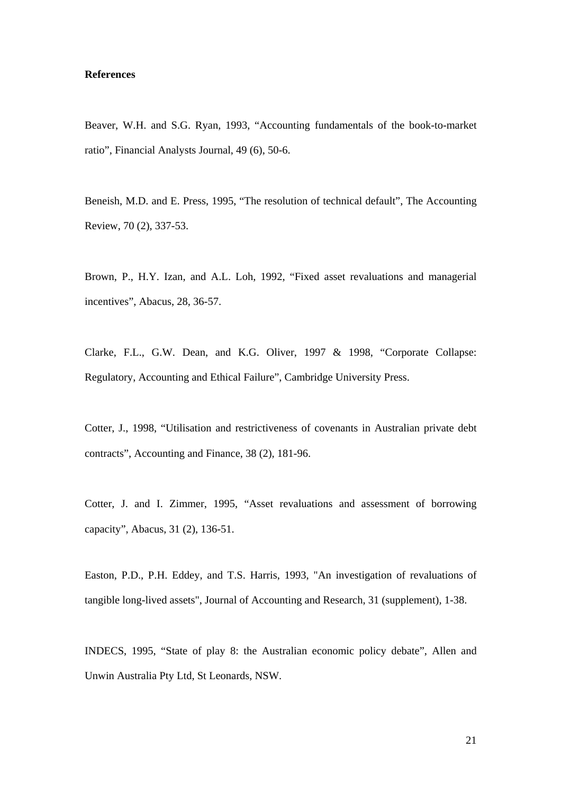## **References**

Beaver, W.H. and S.G. Ryan, 1993, "Accounting fundamentals of the book-to-market ratio", Financial Analysts Journal, 49 (6), 50-6.

Beneish, M.D. and E. Press, 1995, "The resolution of technical default", The Accounting Review, 70 (2), 337-53.

Brown, P., H.Y. Izan, and A.L. Loh, 1992, "Fixed asset revaluations and managerial incentives", Abacus, 28, 36-57.

Clarke, F.L., G.W. Dean, and K.G. Oliver, 1997 & 1998, "Corporate Collapse: Regulatory, Accounting and Ethical Failure", Cambridge University Press.

Cotter, J., 1998, "Utilisation and restrictiveness of covenants in Australian private debt contracts", Accounting and Finance, 38 (2), 181-96.

Cotter, J. and I. Zimmer, 1995, "Asset revaluations and assessment of borrowing capacity", Abacus, 31 (2), 136-51.

Easton, P.D., P.H. Eddey, and T.S. Harris, 1993, "An investigation of revaluations of tangible long-lived assets", Journal of Accounting and Research, 31 (supplement), 1-38.

INDECS, 1995, "State of play 8: the Australian economic policy debate", Allen and Unwin Australia Pty Ltd, St Leonards, NSW.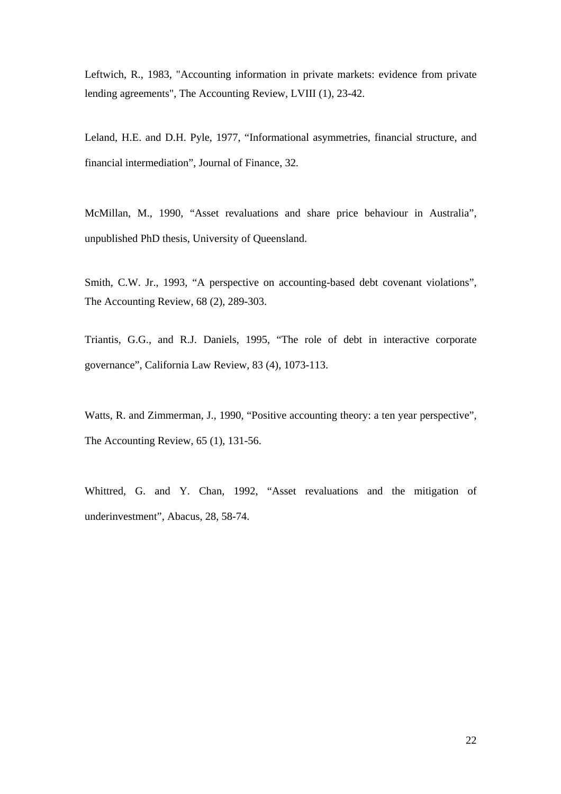Leftwich, R., 1983, "Accounting information in private markets: evidence from private lending agreements", The Accounting Review, LVIII (1), 23-42.

Leland, H.E. and D.H. Pyle, 1977, "Informational asymmetries, financial structure, and financial intermediation", Journal of Finance, 32.

McMillan, M., 1990, "Asset revaluations and share price behaviour in Australia", unpublished PhD thesis, University of Queensland.

Smith, C.W. Jr., 1993, "A perspective on accounting-based debt covenant violations", The Accounting Review, 68 (2), 289-303.

Triantis, G.G., and R.J. Daniels, 1995, "The role of debt in interactive corporate governance", California Law Review, 83 (4), 1073-113.

Watts, R. and Zimmerman, J., 1990, "Positive accounting theory: a ten year perspective", The Accounting Review, 65 (1), 131-56.

Whittred, G. and Y. Chan, 1992, "Asset revaluations and the mitigation of underinvestment", Abacus, 28, 58-74.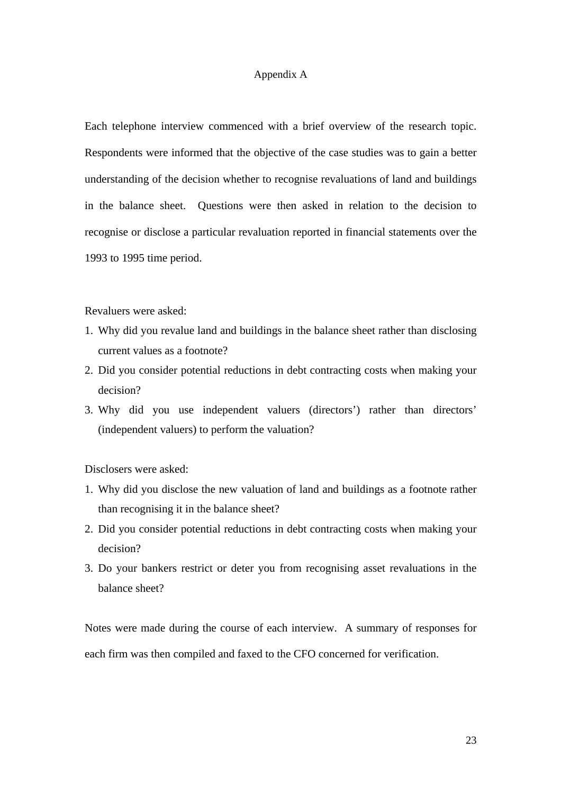#### Appendix A

Each telephone interview commenced with a brief overview of the research topic. Respondents were informed that the objective of the case studies was to gain a better understanding of the decision whether to recognise revaluations of land and buildings in the balance sheet. Questions were then asked in relation to the decision to recognise or disclose a particular revaluation reported in financial statements over the 1993 to 1995 time period.

Revaluers were asked:

- 1. Why did you revalue land and buildings in the balance sheet rather than disclosing current values as a footnote?
- 2. Did you consider potential reductions in debt contracting costs when making your decision?
- 3. Why did you use independent valuers (directors') rather than directors' (independent valuers) to perform the valuation?

Disclosers were asked:

- 1. Why did you disclose the new valuation of land and buildings as a footnote rather than recognising it in the balance sheet?
- 2. Did you consider potential reductions in debt contracting costs when making your decision?
- 3. Do your bankers restrict or deter you from recognising asset revaluations in the balance sheet?

Notes were made during the course of each interview. A summary of responses for each firm was then compiled and faxed to the CFO concerned for verification.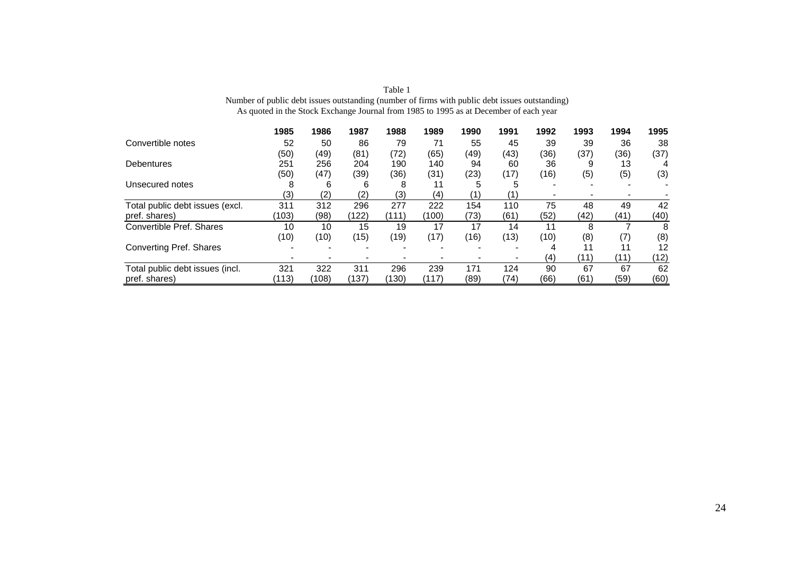|                                 | 1985  | 1986  | 1987  | 1988                     | 1989  | 1990 | 1991 | 1992 | 1993 | 1994              | 1995 |
|---------------------------------|-------|-------|-------|--------------------------|-------|------|------|------|------|-------------------|------|
| Convertible notes               | 52    | 50    | 86    | 79                       | 71    | 55   | 45   | 39   | 39   | 36                | 38   |
|                                 | (50)  | (49)  | (81)  | (72)                     | (65)  | (49) | (43) | (36) | (37) | (36)              | (37) |
| <b>Debentures</b>               | 251   | 256   | 204   | 190                      | 140   | 94   | 60   | 36   | 9    | 13                |      |
|                                 | (50)  | (47)  | (39)  | (36)                     | (31)  | (23) | (17) | (16) | (5)  | (5)               | (3)  |
| Unsecured notes                 | 8     | 6     | 6     | 8                        | 11    | 5    | 5    |      |      |                   |      |
|                                 | (3)   | (2)   | (2)   | (3)                      | (4)   | (1)  |      |      |      |                   |      |
| Total public debt issues (excl. | 311   | 312   | 296   | 277                      | 222   | 154  | 110  | 75   | 48   | 49                | 42   |
| pref. shares)                   | (103) | (98)  | (122) | (111)                    | (100) | (73) | (61) | (52) | (42) | (41)              | (40) |
| Convertible Pref. Shares        | 10    | 10    | 15    | 19                       | 17    | 17   | 14   | 11   | 8    |                   | 8    |
|                                 | (10)  | (10)  | (15)  | (19)                     | (17)  | (16) | (13) | (10) | (8)  | $\left( 7\right)$ | (8)  |
| <b>Converting Pref. Shares</b>  |       |       |       | $\overline{\phantom{0}}$ | -     |      |      | 4    |      | 11                | 12   |
|                                 |       |       |       |                          |       |      |      | (4)  | (11) | (11)              | (12) |
| Total public debt issues (incl. | 321   | 322   | 311   | 296                      | 239   | 171  | 124  | 90   | 67   | 67                | 62   |
| pref. shares)                   | (113) | (108) | (137) | (130)                    | (117) | (89) | (74) | (66) | (61) | (59)              | (60) |

Table 1 Number of public debt issues outstanding (number of firms with public debt issues outstanding) As quoted in the Stock Exchange Journal from 1985 to 1995 as at December of each year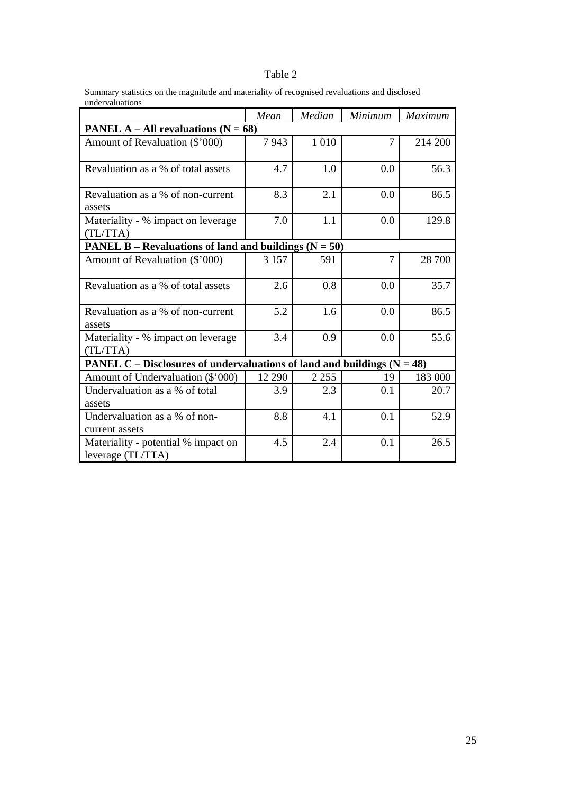# Table 2

Summary statistics on the magnitude and materiality of recognised revaluations and disclosed undervaluations

|                                                                           | Mean    | Median  | Minimum        | Maximum |  |  |  |  |  |  |  |  |
|---------------------------------------------------------------------------|---------|---------|----------------|---------|--|--|--|--|--|--|--|--|
| <b>PANEL A – All revaluations (N = 68)</b>                                |         |         |                |         |  |  |  |  |  |  |  |  |
| Amount of Revaluation (\$'000)                                            | 7943    | 1 0 1 0 | 7              | 214 200 |  |  |  |  |  |  |  |  |
| Revaluation as a % of total assets                                        | 4.7     | 1.0     | 0.0            | 56.3    |  |  |  |  |  |  |  |  |
| Revaluation as a % of non-current<br>assets                               | 8.3     | 2.1     | 0.0            | 86.5    |  |  |  |  |  |  |  |  |
| Materiality - % impact on leverage<br>(TL/TTA)                            | 7.0     | 1.1     | 0.0            | 129.8   |  |  |  |  |  |  |  |  |
| <b>PANEL B</b> – Revaluations of land and buildings $(N = 50)$            |         |         |                |         |  |  |  |  |  |  |  |  |
| Amount of Revaluation (\$'000)                                            | 3 1 5 7 | 591     | $\overline{7}$ | 28 700  |  |  |  |  |  |  |  |  |
| Revaluation as a % of total assets                                        | 2.6     | 0.8     | 0.0            | 35.7    |  |  |  |  |  |  |  |  |
| Revaluation as a % of non-current<br>assets                               | 5.2     | 1.6     | 0.0            | 86.5    |  |  |  |  |  |  |  |  |
| Materiality - % impact on leverage<br>(TL/TTA)                            | 3.4     | 0.9     | 0.0            | 55.6    |  |  |  |  |  |  |  |  |
| PANEL C – Disclosures of undervaluations of land and buildings $(N = 48)$ |         |         |                |         |  |  |  |  |  |  |  |  |
| Amount of Undervaluation (\$'000)                                         | 12 290  | 2 2 5 5 | 19             | 183 000 |  |  |  |  |  |  |  |  |
| Undervaluation as a % of total<br>assets                                  | 3.9     | 2.3     | 0.1            | 20.7    |  |  |  |  |  |  |  |  |
| Undervaluation as a % of non-<br>current assets                           | 8.8     | 4.1     | 0.1            | 52.9    |  |  |  |  |  |  |  |  |
| Materiality - potential % impact on<br>leverage (TL/TTA)                  | 4.5     | 2.4     | 0.1            | 26.5    |  |  |  |  |  |  |  |  |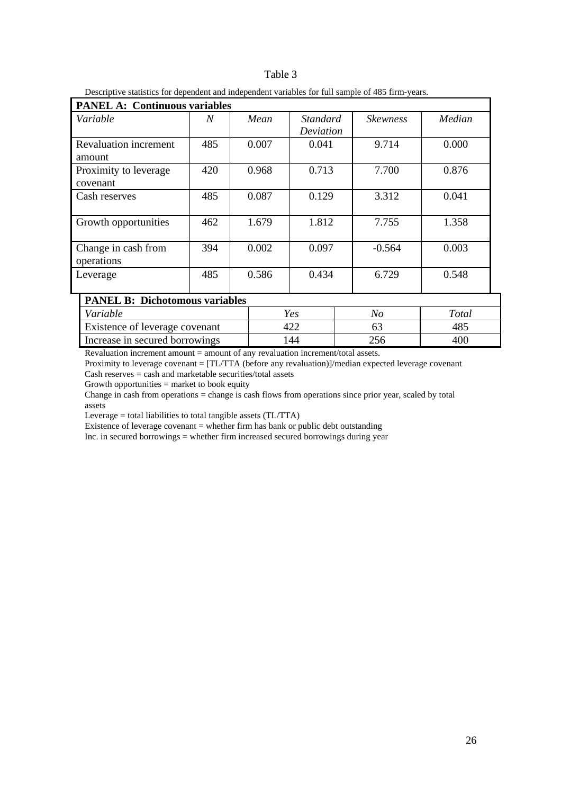|  | Descriptive statistics for dependent and independent variables for full sample of 485 firm-vears. |  |  |  |  |  |  |  |  |  |  |
|--|---------------------------------------------------------------------------------------------------|--|--|--|--|--|--|--|--|--|--|
|--|---------------------------------------------------------------------------------------------------|--|--|--|--|--|--|--|--|--|--|

| <b>PANEL A: Continuous variables</b>   |     |  |       |                              |     |                 |        |  |  |  |
|----------------------------------------|-----|--|-------|------------------------------|-----|-----------------|--------|--|--|--|
| Variable                               | N   |  | Mean  | <i>Standard</i><br>Deviation |     | <b>Skewness</b> | Median |  |  |  |
| <b>Revaluation increment</b><br>amount | 485 |  | 0.007 | 0.041                        |     | 9.714           | 0.000  |  |  |  |
| Proximity to leverage<br>covenant      | 420 |  | 0.968 | 0.713                        |     | 7.700           | 0.876  |  |  |  |
| Cash reserves                          | 485 |  | 0.087 | 0.129                        |     | 3.312           | 0.041  |  |  |  |
| Growth opportunities                   | 462 |  | 1.679 | 1.812                        |     | 7.755           | 1.358  |  |  |  |
| Change in cash from<br>operations      | 394 |  | 0.002 | 0.097                        |     | $-0.564$        | 0.003  |  |  |  |
| Leverage                               | 485 |  | 0.586 | 0.434                        |     | 6.729           | 0.548  |  |  |  |
| <b>PANEL B: Dichotomous variables</b>  |     |  |       |                              |     |                 |        |  |  |  |
| Variable                               |     |  | Yes   |                              | No  |                 | Total  |  |  |  |
| Existence of leverage covenant         |     |  | 422   |                              |     | 63              | 485    |  |  |  |
| Increase in secured borrowings         |     |  | 144   |                              | 256 | 400             |        |  |  |  |

Revaluation increment amount = amount of any revaluation increment/total assets.

Proximity to leverage covenant = [TL/TTA (before any revaluation)]/median expected leverage covenant Cash reserves = cash and marketable securities/total assets

Growth opportunities = market to book equity

Change in cash from operations = change is cash flows from operations since prior year, scaled by total assets

Leverage = total liabilities to total tangible assets (TL/TTA)

Existence of leverage covenant  $=$  whether firm has bank or public debt outstanding

Inc. in secured borrowings = whether firm increased secured borrowings during year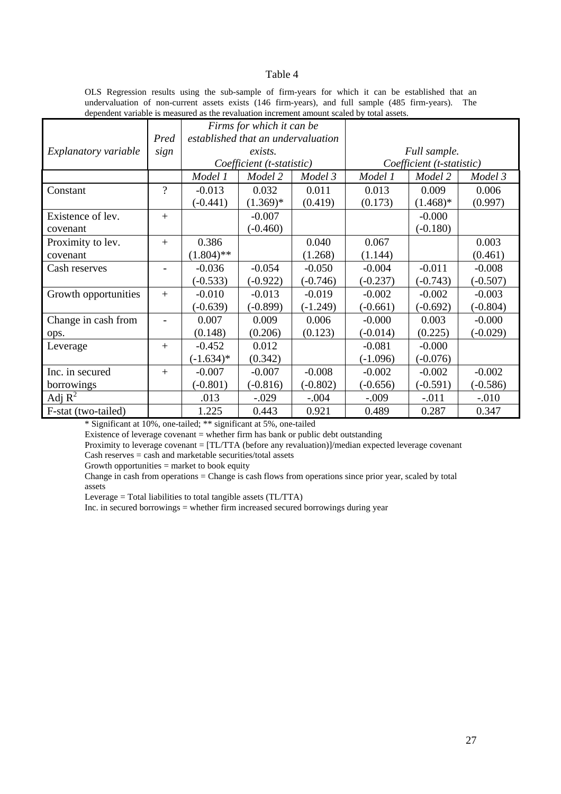#### Table 4

OLS Regression results using the sub-sample of firm-years for which it can be established that an undervaluation of non-current assets exists (146 firm-years), and full sample (485 firm-years). The dependent variable is measured as the revaluation increment amount scaled by total assets.

|                      |                          |                           | Firms for which it can be          |            |                           |             |            |  |  |
|----------------------|--------------------------|---------------------------|------------------------------------|------------|---------------------------|-------------|------------|--|--|
|                      | Pred                     |                           | established that an undervaluation |            |                           |             |            |  |  |
| Explanatory variable | sign                     | exists.                   |                                    |            | Full sample.              |             |            |  |  |
|                      |                          | Coefficient (t-statistic) |                                    |            | Coefficient (t-statistic) |             |            |  |  |
|                      |                          | Model 1                   | Model 2                            | Model 3    | Model 1                   | Model 2     | Model 3    |  |  |
| Constant             | $\overline{\mathcal{L}}$ | $-0.013$                  | 0.032                              | 0.011      | 0.013                     | 0.009       | 0.006      |  |  |
|                      |                          | $(-0.441)$                | $(1.369)^*$                        | (0.419)    | (0.173)                   | $(1.468)^*$ | (0.997)    |  |  |
| Existence of lev.    | $+$                      |                           | $-0.007$                           |            |                           | $-0.000$    |            |  |  |
| covenant             |                          |                           | $(-0.460)$                         |            |                           | $(-0.180)$  |            |  |  |
| Proximity to lev.    | $+$                      | 0.386                     |                                    | 0.040      | 0.067                     |             | 0.003      |  |  |
| covenant             |                          | $(1.804)$ **              |                                    | (1.268)    | (1.144)                   |             | (0.461)    |  |  |
| Cash reserves        |                          | $-0.036$                  | $-0.054$                           | $-0.050$   | $-0.004$                  | $-0.011$    | $-0.008$   |  |  |
|                      |                          | $(-0.533)$                | $(-0.922)$                         | $(-0.746)$ | $(-0.237)$                | $(-0.743)$  | $(-0.507)$ |  |  |
| Growth opportunities | $+$                      | $-0.010$                  | $-0.013$                           | $-0.019$   | $-0.002$                  | $-0.002$    | $-0.003$   |  |  |
|                      |                          | $(-0.639)$                | $(-0.899)$                         | $(-1.249)$ | $(-0.661)$                | $(-0.692)$  | $(-0.804)$ |  |  |
| Change in cash from  | ÷.                       | 0.007                     | 0.009                              | 0.006      | $-0.000$                  | 0.003       | $-0.000$   |  |  |
| ops.                 |                          | (0.148)                   | (0.206)                            | (0.123)    | $(-0.014)$                | (0.225)     | $(-0.029)$ |  |  |
| Leverage             | $^{+}$                   | $-0.452$                  | 0.012                              |            | $-0.081$                  | $-0.000$    |            |  |  |
|                      |                          | $(-1.634)^*$              | (0.342)                            |            | $(-1.096)$                | $(-0.076)$  |            |  |  |
| Inc. in secured      | $+$                      | $-0.007$                  | $-0.007$                           | $-0.008$   | $-0.002$                  | $-0.002$    | $-0.002$   |  |  |
| borrowings           |                          | $(-0.801)$                | $(-0.816)$                         | $(-0.802)$ | $(-0.656)$                | $(-0.591)$  | $(-0.586)$ |  |  |
| Adj $R^2$            |                          | .013                      | $-.029$                            | $-.004$    | $-.009$                   | $-0.011$    | $-.010$    |  |  |
| F-stat (two-tailed)  |                          | 1.225                     | 0.443                              | 0.921      | 0.489                     | 0.287       | 0.347      |  |  |

\* Significant at 10%, one-tailed; \*\* significant at 5%, one-tailed

Existence of leverage covenant = whether firm has bank or public debt outstanding

Proximity to leverage covenant = [TL/TTA (before any revaluation)]/median expected leverage covenant Cash reserves = cash and marketable securities/total assets

Growth opportunities  $=$  market to book equity

Change in cash from operations = Change is cash flows from operations since prior year, scaled by total assets

Leverage = Total liabilities to total tangible assets (TL/TTA)

Inc. in secured borrowings = whether firm increased secured borrowings during year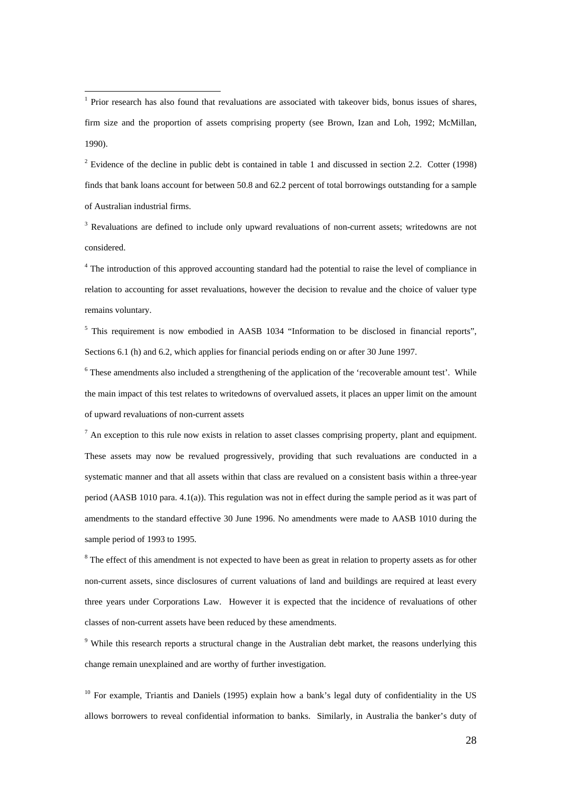$\overline{a}$ 

<sup>2</sup> Evidence of the decline in public debt is contained in table 1 and discussed in section 2.2. Cotter (1998) finds that bank loans account for between 50.8 and 62.2 percent of total borrowings outstanding for a sample of Australian industrial firms.

<sup>3</sup> Revaluations are defined to include only upward revaluations of non-current assets; writedowns are not considered.

<sup>4</sup> The introduction of this approved accounting standard had the potential to raise the level of compliance in relation to accounting for asset revaluations, however the decision to revalue and the choice of valuer type remains voluntary.

<sup>5</sup> This requirement is now embodied in AASB 1034 "Information to be disclosed in financial reports", Sections 6.1 (h) and 6.2, which applies for financial periods ending on or after 30 June 1997.

 $6$  These amendments also included a strengthening of the application of the 'recoverable amount test'. While the main impact of this test relates to writedowns of overvalued assets, it places an upper limit on the amount of upward revaluations of non-current assets

 $<sup>7</sup>$  An exception to this rule now exists in relation to asset classes comprising property, plant and equipment.</sup> These assets may now be revalued progressively, providing that such revaluations are conducted in a systematic manner and that all assets within that class are revalued on a consistent basis within a three-year period (AASB 1010 para. 4.1(a)). This regulation was not in effect during the sample period as it was part of amendments to the standard effective 30 June 1996. No amendments were made to AASB 1010 during the sample period of 1993 to 1995.

<sup>8</sup> The effect of this amendment is not expected to have been as great in relation to property assets as for other non-current assets, since disclosures of current valuations of land and buildings are required at least every three years under Corporations Law. However it is expected that the incidence of revaluations of other classes of non-current assets have been reduced by these amendments.

<sup>9</sup> While this research reports a structural change in the Australian debt market, the reasons underlying this change remain unexplained and are worthy of further investigation.

 $10$  For example, Triantis and Daniels (1995) explain how a bank's legal duty of confidentiality in the US allows borrowers to reveal confidential information to banks. Similarly, in Australia the banker's duty of

28

<sup>&</sup>lt;sup>1</sup> Prior research has also found that revaluations are associated with takeover bids, bonus issues of shares, firm size and the proportion of assets comprising property (see Brown, Izan and Loh, 1992; McMillan, 1990).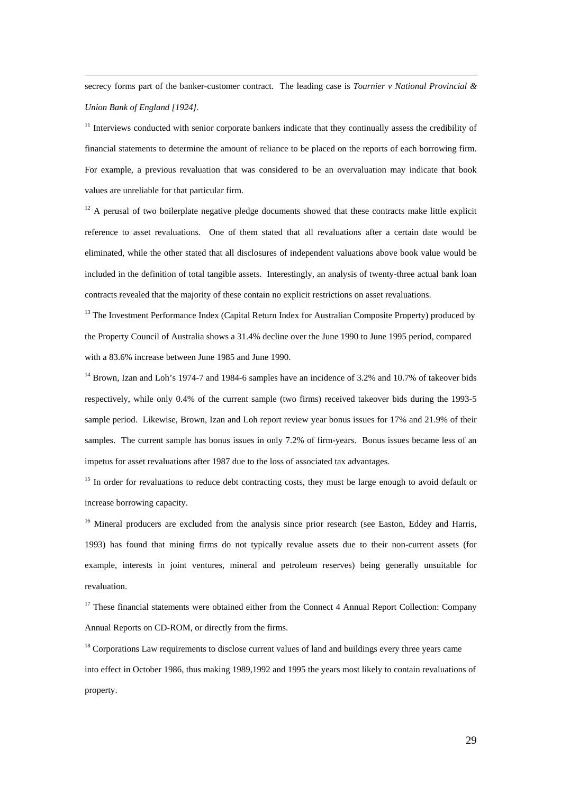secrecy forms part of the banker-customer contract. The leading case is *Tournier v National Provincial & Union Bank of England [1924].*

 $11$  Interviews conducted with senior corporate bankers indicate that they continually assess the credibility of financial statements to determine the amount of reliance to be placed on the reports of each borrowing firm. For example, a previous revaluation that was considered to be an overvaluation may indicate that book values are unreliable for that particular firm.

 $12$  A perusal of two boilerplate negative pledge documents showed that these contracts make little explicit reference to asset revaluations. One of them stated that all revaluations after a certain date would be eliminated, while the other stated that all disclosures of independent valuations above book value would be included in the definition of total tangible assets. Interestingly, an analysis of twenty-three actual bank loan contracts revealed that the majority of these contain no explicit restrictions on asset revaluations.

 $<sup>13</sup>$  The Investment Performance Index (Capital Return Index for Australian Composite Property) produced by</sup> the Property Council of Australia shows a 31.4% decline over the June 1990 to June 1995 period, compared with a 83.6% increase between June 1985 and June 1990.

<sup>14</sup> Brown, Izan and Loh's 1974-7 and 1984-6 samples have an incidence of 3.2% and 10.7% of takeover bids respectively, while only 0.4% of the current sample (two firms) received takeover bids during the 1993-5 sample period. Likewise, Brown, Izan and Loh report review year bonus issues for 17% and 21.9% of their samples. The current sample has bonus issues in only 7.2% of firm-years. Bonus issues became less of an impetus for asset revaluations after 1987 due to the loss of associated tax advantages.

<sup>15</sup> In order for revaluations to reduce debt contracting costs, they must be large enough to avoid default or increase borrowing capacity.

<sup>16</sup> Mineral producers are excluded from the analysis since prior research (see Easton, Eddey and Harris, 1993) has found that mining firms do not typically revalue assets due to their non-current assets (for example, interests in joint ventures, mineral and petroleum reserves) being generally unsuitable for revaluation.

 $17$  These financial statements were obtained either from the Connect 4 Annual Report Collection: Company Annual Reports on CD-ROM, or directly from the firms.

<sup>18</sup> Corporations Law requirements to disclose current values of land and buildings every three years came into effect in October 1986, thus making 1989,1992 and 1995 the years most likely to contain revaluations of property.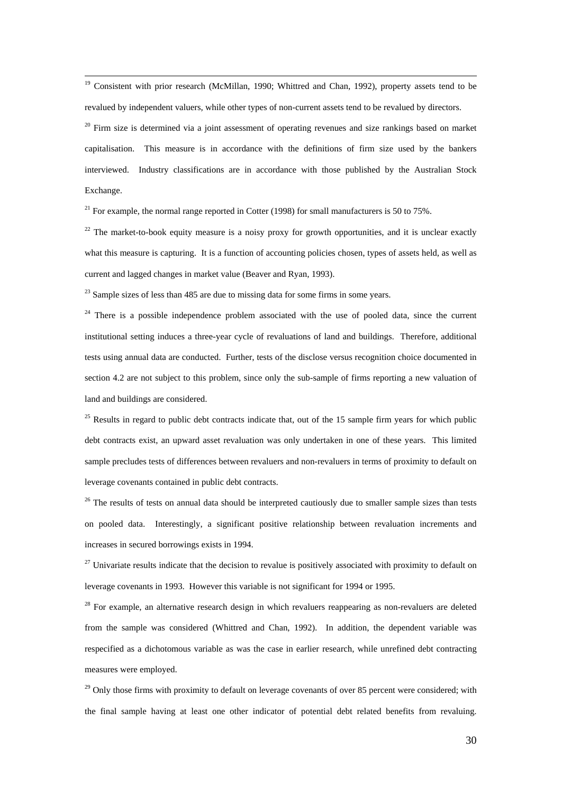<sup>19</sup> Consistent with prior research (McMillan, 1990; Whittred and Chan, 1992), property assets tend to be revalued by independent valuers, while other types of non-current assets tend to be revalued by directors.

 $20$  Firm size is determined via a joint assessment of operating revenues and size rankings based on market capitalisation. This measure is in accordance with the definitions of firm size used by the bankers interviewed. Industry classifications are in accordance with those published by the Australian Stock Exchange.

<sup>21</sup> For example, the normal range reported in Cotter (1998) for small manufacturers is 50 to 75%.

 $22$  The market-to-book equity measure is a noisy proxy for growth opportunities, and it is unclear exactly what this measure is capturing. It is a function of accounting policies chosen, types of assets held, as well as current and lagged changes in market value (Beaver and Ryan, 1993).

 $23$  Sample sizes of less than 485 are due to missing data for some firms in some years.

 $24$  There is a possible independence problem associated with the use of pooled data, since the current institutional setting induces a three-year cycle of revaluations of land and buildings. Therefore, additional tests using annual data are conducted. Further, tests of the disclose versus recognition choice documented in section 4.2 are not subject to this problem, since only the sub-sample of firms reporting a new valuation of land and buildings are considered.

<sup>25</sup> Results in regard to public debt contracts indicate that, out of the 15 sample firm years for which public debt contracts exist, an upward asset revaluation was only undertaken in one of these years. This limited sample precludes tests of differences between revaluers and non-revaluers in terms of proximity to default on leverage covenants contained in public debt contracts.

 $26$  The results of tests on annual data should be interpreted cautiously due to smaller sample sizes than tests on pooled data. Interestingly, a significant positive relationship between revaluation increments and increases in secured borrowings exists in 1994.

 $27$  Univariate results indicate that the decision to revalue is positively associated with proximity to default on leverage covenants in 1993. However this variable is not significant for 1994 or 1995.

 $28$  For example, an alternative research design in which revaluers reappearing as non-revaluers are deleted from the sample was considered (Whittred and Chan, 1992). In addition, the dependent variable was respecified as a dichotomous variable as was the case in earlier research, while unrefined debt contracting measures were employed.

<sup>29</sup> Only those firms with proximity to default on leverage covenants of over 85 percent were considered; with the final sample having at least one other indicator of potential debt related benefits from revaluing.